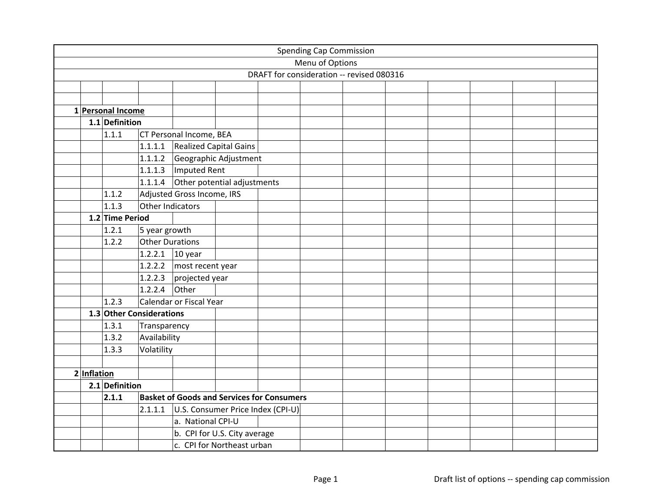|             |                          |                  |                                                   |  | <b>Spending Cap Commission</b> |                                           |  |  |  |
|-------------|--------------------------|------------------|---------------------------------------------------|--|--------------------------------|-------------------------------------------|--|--|--|
|             |                          |                  |                                                   |  | Menu of Options                |                                           |  |  |  |
|             |                          |                  |                                                   |  |                                | DRAFT for consideration -- revised 080316 |  |  |  |
|             |                          |                  |                                                   |  |                                |                                           |  |  |  |
|             |                          |                  |                                                   |  |                                |                                           |  |  |  |
|             | 1 Personal Income        |                  |                                                   |  |                                |                                           |  |  |  |
|             | 1.1 Definition           |                  |                                                   |  |                                |                                           |  |  |  |
|             | 1.1.1                    |                  | CT Personal Income, BEA                           |  |                                |                                           |  |  |  |
|             |                          | 1.1.1.1          | <b>Realized Capital Gains</b>                     |  |                                |                                           |  |  |  |
|             |                          | 1.1.1.2          | Geographic Adjustment                             |  |                                |                                           |  |  |  |
|             |                          |                  | $1.1.1.3$   Imputed Rent                          |  |                                |                                           |  |  |  |
|             |                          |                  | 1.1.1.4 Other potential adjustments               |  |                                |                                           |  |  |  |
|             | 1.1.2                    |                  | Adjusted Gross Income, IRS                        |  |                                |                                           |  |  |  |
|             | 1.1.3                    | Other Indicators |                                                   |  |                                |                                           |  |  |  |
|             | 1.2 Time Period          |                  |                                                   |  |                                |                                           |  |  |  |
|             | 1.2.1                    | 5 year growth    |                                                   |  |                                |                                           |  |  |  |
|             | 1.2.2                    | Other Durations  |                                                   |  |                                |                                           |  |  |  |
|             |                          | 1.2.2.1 10 year  |                                                   |  |                                |                                           |  |  |  |
|             |                          |                  | 1.2.2.2   most recent year                        |  |                                |                                           |  |  |  |
|             |                          |                  | 1.2.2.3 $projected year$                          |  |                                |                                           |  |  |  |
|             |                          | 1.2.2.4          | Other                                             |  |                                |                                           |  |  |  |
|             | 1.2.3                    |                  | Calendar or Fiscal Year                           |  |                                |                                           |  |  |  |
|             | 1.3 Other Considerations |                  |                                                   |  |                                |                                           |  |  |  |
|             | 1.3.1                    | Transparency     |                                                   |  |                                |                                           |  |  |  |
|             | 1.3.2                    | Availability     |                                                   |  |                                |                                           |  |  |  |
|             | 1.3.3                    | Volatility       |                                                   |  |                                |                                           |  |  |  |
|             |                          |                  |                                                   |  |                                |                                           |  |  |  |
| 2 Inflation |                          |                  |                                                   |  |                                |                                           |  |  |  |
|             | 2.1 Definition           |                  |                                                   |  |                                |                                           |  |  |  |
|             | 2.1.1                    |                  | <b>Basket of Goods and Services for Consumers</b> |  |                                |                                           |  |  |  |
|             |                          | 2.1.1.1          | U.S. Consumer Price Index (CPI-U)                 |  |                                |                                           |  |  |  |
|             |                          |                  | a. National CPI-U                                 |  |                                |                                           |  |  |  |
|             |                          |                  | b. CPI for U.S. City average                      |  |                                |                                           |  |  |  |
|             |                          |                  | c. CPI for Northeast urban                        |  |                                |                                           |  |  |  |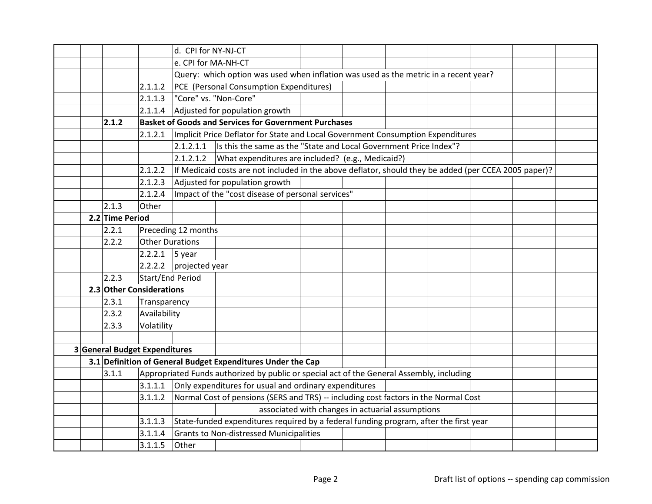|                               |                        | d. CPI for NY-NJ-CT      |                                                              |                                                                                       |  |  |                                                                                                                                                                                                                                                                                                                                                                                                                                                                                                                                                                                                                                                    |  |  |  |  |
|-------------------------------|------------------------|--------------------------|--------------------------------------------------------------|---------------------------------------------------------------------------------------|--|--|----------------------------------------------------------------------------------------------------------------------------------------------------------------------------------------------------------------------------------------------------------------------------------------------------------------------------------------------------------------------------------------------------------------------------------------------------------------------------------------------------------------------------------------------------------------------------------------------------------------------------------------------------|--|--|--|--|
|                               |                        | e. CPI for MA-NH-CT      |                                                              |                                                                                       |  |  |                                                                                                                                                                                                                                                                                                                                                                                                                                                                                                                                                                                                                                                    |  |  |  |  |
|                               |                        |                          |                                                              |                                                                                       |  |  |                                                                                                                                                                                                                                                                                                                                                                                                                                                                                                                                                                                                                                                    |  |  |  |  |
|                               | 2.1.1.2                |                          | PCE (Personal Consumption Expenditures)                      |                                                                                       |  |  |                                                                                                                                                                                                                                                                                                                                                                                                                                                                                                                                                                                                                                                    |  |  |  |  |
|                               | 2.1.1.3                |                          | "Core" vs. "Non-Core"                                        |                                                                                       |  |  |                                                                                                                                                                                                                                                                                                                                                                                                                                                                                                                                                                                                                                                    |  |  |  |  |
|                               | 2.1.1.4                |                          | Adjusted for population growth                               |                                                                                       |  |  |                                                                                                                                                                                                                                                                                                                                                                                                                                                                                                                                                                                                                                                    |  |  |  |  |
| 2.1.2                         |                        |                          | <b>Basket of Goods and Services for Government Purchases</b> |                                                                                       |  |  |                                                                                                                                                                                                                                                                                                                                                                                                                                                                                                                                                                                                                                                    |  |  |  |  |
|                               | 2.1.2.1                |                          |                                                              |                                                                                       |  |  |                                                                                                                                                                                                                                                                                                                                                                                                                                                                                                                                                                                                                                                    |  |  |  |  |
|                               |                        | 2.1.2.1.1                |                                                              |                                                                                       |  |  |                                                                                                                                                                                                                                                                                                                                                                                                                                                                                                                                                                                                                                                    |  |  |  |  |
|                               |                        | 2.1.2.1.2                |                                                              |                                                                                       |  |  |                                                                                                                                                                                                                                                                                                                                                                                                                                                                                                                                                                                                                                                    |  |  |  |  |
|                               | 2.1.2.2                |                          |                                                              |                                                                                       |  |  |                                                                                                                                                                                                                                                                                                                                                                                                                                                                                                                                                                                                                                                    |  |  |  |  |
|                               | 2.1.2.3                |                          | Adjusted for population growth                               |                                                                                       |  |  |                                                                                                                                                                                                                                                                                                                                                                                                                                                                                                                                                                                                                                                    |  |  |  |  |
|                               | 2.1.2.4                |                          | Impact of the "cost disease of personal services"            |                                                                                       |  |  |                                                                                                                                                                                                                                                                                                                                                                                                                                                                                                                                                                                                                                                    |  |  |  |  |
| 2.1.3                         | Other                  |                          |                                                              |                                                                                       |  |  |                                                                                                                                                                                                                                                                                                                                                                                                                                                                                                                                                                                                                                                    |  |  |  |  |
| 2.2 Time Period               |                        |                          |                                                              |                                                                                       |  |  |                                                                                                                                                                                                                                                                                                                                                                                                                                                                                                                                                                                                                                                    |  |  |  |  |
| 2.2.1                         |                        | Preceding 12 months      |                                                              |                                                                                       |  |  |                                                                                                                                                                                                                                                                                                                                                                                                                                                                                                                                                                                                                                                    |  |  |  |  |
| 2.2.2                         | <b>Other Durations</b> |                          |                                                              |                                                                                       |  |  |                                                                                                                                                                                                                                                                                                                                                                                                                                                                                                                                                                                                                                                    |  |  |  |  |
|                               | $2.2.2.1$ 5 year       |                          |                                                              |                                                                                       |  |  |                                                                                                                                                                                                                                                                                                                                                                                                                                                                                                                                                                                                                                                    |  |  |  |  |
|                               |                        | 2.2.2.2 $projected year$ |                                                              |                                                                                       |  |  |                                                                                                                                                                                                                                                                                                                                                                                                                                                                                                                                                                                                                                                    |  |  |  |  |
| 2.2.3                         | Start/End Period       |                          |                                                              |                                                                                       |  |  |                                                                                                                                                                                                                                                                                                                                                                                                                                                                                                                                                                                                                                                    |  |  |  |  |
| 2.3 Other Considerations      |                        |                          |                                                              |                                                                                       |  |  |                                                                                                                                                                                                                                                                                                                                                                                                                                                                                                                                                                                                                                                    |  |  |  |  |
| 2.3.1                         | Transparency           |                          |                                                              |                                                                                       |  |  |                                                                                                                                                                                                                                                                                                                                                                                                                                                                                                                                                                                                                                                    |  |  |  |  |
| 2.3.2                         | Availability           |                          |                                                              |                                                                                       |  |  |                                                                                                                                                                                                                                                                                                                                                                                                                                                                                                                                                                                                                                                    |  |  |  |  |
| 2.3.3                         | Volatility             |                          |                                                              |                                                                                       |  |  |                                                                                                                                                                                                                                                                                                                                                                                                                                                                                                                                                                                                                                                    |  |  |  |  |
|                               |                        |                          |                                                              |                                                                                       |  |  |                                                                                                                                                                                                                                                                                                                                                                                                                                                                                                                                                                                                                                                    |  |  |  |  |
| 3 General Budget Expenditures |                        |                          |                                                              |                                                                                       |  |  |                                                                                                                                                                                                                                                                                                                                                                                                                                                                                                                                                                                                                                                    |  |  |  |  |
|                               |                        |                          | 3.1 Definition of General Budget Expenditures Under the Cap  |                                                                                       |  |  |                                                                                                                                                                                                                                                                                                                                                                                                                                                                                                                                                                                                                                                    |  |  |  |  |
| 3.1.1                         |                        |                          |                                                              |                                                                                       |  |  |                                                                                                                                                                                                                                                                                                                                                                                                                                                                                                                                                                                                                                                    |  |  |  |  |
|                               | 3.1.1.1                |                          | Only expenditures for usual and ordinary expenditures        |                                                                                       |  |  |                                                                                                                                                                                                                                                                                                                                                                                                                                                                                                                                                                                                                                                    |  |  |  |  |
|                               | 3.1.1.2                |                          |                                                              |                                                                                       |  |  |                                                                                                                                                                                                                                                                                                                                                                                                                                                                                                                                                                                                                                                    |  |  |  |  |
|                               |                        |                          |                                                              |                                                                                       |  |  |                                                                                                                                                                                                                                                                                                                                                                                                                                                                                                                                                                                                                                                    |  |  |  |  |
|                               | 3.1.1.3                |                          |                                                              | State-funded expenditures required by a federal funding program, after the first year |  |  |                                                                                                                                                                                                                                                                                                                                                                                                                                                                                                                                                                                                                                                    |  |  |  |  |
|                               | 3.1.1.4                |                          | <b>Grants to Non-distressed Municipalities</b>               |                                                                                       |  |  | Query: which option was used when inflation was used as the metric in a recent year?<br>Implicit Price Deflator for State and Local Government Consumption Expenditures<br>Is this the same as the "State and Local Government Price Index"?<br>What expenditures are included? (e.g., Medicaid?)<br>If Medicaid costs are not included in the above deflator, should they be added (per CCEA 2005 paper)?<br>Appropriated Funds authorized by public or special act of the General Assembly, including<br>Normal Cost of pensions (SERS and TRS) -- including cost factors in the Normal Cost<br>associated with changes in actuarial assumptions |  |  |  |  |
|                               | 3.1.1.5                | Other                    |                                                              |                                                                                       |  |  |                                                                                                                                                                                                                                                                                                                                                                                                                                                                                                                                                                                                                                                    |  |  |  |  |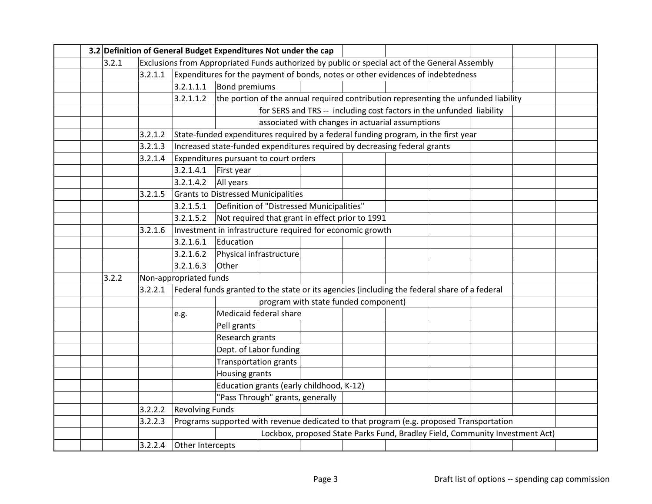|  |       |         |                        | 3.2 Definition of General Budget Expenditures Not under the cap                                |  |                                          |                                                                                     |  |  |  |                                                                              |  |
|--|-------|---------|------------------------|------------------------------------------------------------------------------------------------|--|------------------------------------------|-------------------------------------------------------------------------------------|--|--|--|------------------------------------------------------------------------------|--|
|  | 3.2.1 |         |                        | Exclusions from Appropriated Funds authorized by public or special act of the General Assembly |  |                                          |                                                                                     |  |  |  |                                                                              |  |
|  |       | 3.2.1.1 |                        | Expenditures for the payment of bonds, notes or other evidences of indebtedness                |  |                                          |                                                                                     |  |  |  |                                                                              |  |
|  |       |         | 3.2.1.1.1              | Bond premiums                                                                                  |  |                                          |                                                                                     |  |  |  |                                                                              |  |
|  |       |         | 3.2.1.1.2              |                                                                                                |  |                                          | the portion of the annual required contribution representing the unfunded liability |  |  |  |                                                                              |  |
|  |       |         |                        |                                                                                                |  |                                          | for SERS and TRS -- including cost factors in the unfunded liability                |  |  |  |                                                                              |  |
|  |       |         |                        |                                                                                                |  |                                          | associated with changes in actuarial assumptions                                    |  |  |  |                                                                              |  |
|  |       | 3.2.1.2 |                        | State-funded expenditures required by a federal funding program, in the first year             |  |                                          |                                                                                     |  |  |  |                                                                              |  |
|  |       | 3.2.1.3 |                        | Increased state-funded expenditures required by decreasing federal grants                      |  |                                          |                                                                                     |  |  |  |                                                                              |  |
|  |       | 3.2.1.4 |                        | Expenditures pursuant to court orders                                                          |  |                                          |                                                                                     |  |  |  |                                                                              |  |
|  |       |         | 3.2.1.4.1              | First year                                                                                     |  |                                          |                                                                                     |  |  |  |                                                                              |  |
|  |       |         | 3.2.1.4.2              | All years                                                                                      |  |                                          |                                                                                     |  |  |  |                                                                              |  |
|  |       | 3.2.1.5 |                        | Grants to Distressed Municipalities                                                            |  |                                          |                                                                                     |  |  |  |                                                                              |  |
|  |       |         | 3.2.1.5.1              | Definition of "Distressed Municipalities"                                                      |  |                                          |                                                                                     |  |  |  |                                                                              |  |
|  |       |         | 3.2.1.5.2              | Not required that grant in effect prior to 1991                                                |  |                                          |                                                                                     |  |  |  |                                                                              |  |
|  |       | 3.2.1.6 |                        | Investment in infrastructure required for economic growth                                      |  |                                          |                                                                                     |  |  |  |                                                                              |  |
|  |       |         | 3.2.1.6.1              | Education                                                                                      |  |                                          |                                                                                     |  |  |  |                                                                              |  |
|  |       |         | 3.2.1.6.2              | Physical infrastructure                                                                        |  |                                          |                                                                                     |  |  |  |                                                                              |  |
|  |       |         | 3.2.1.6.3              | Other                                                                                          |  |                                          |                                                                                     |  |  |  |                                                                              |  |
|  | 3.2.2 |         | Non-appropriated funds |                                                                                                |  |                                          |                                                                                     |  |  |  |                                                                              |  |
|  |       | 3.2.2.1 |                        | Federal funds granted to the state or its agencies (including the federal share of a federal   |  |                                          |                                                                                     |  |  |  |                                                                              |  |
|  |       |         |                        |                                                                                                |  |                                          | program with state funded component)                                                |  |  |  |                                                                              |  |
|  |       |         | e.g.                   | Medicaid federal share                                                                         |  |                                          |                                                                                     |  |  |  |                                                                              |  |
|  |       |         |                        | Pell grants                                                                                    |  |                                          |                                                                                     |  |  |  |                                                                              |  |
|  |       |         |                        | Research grants                                                                                |  |                                          |                                                                                     |  |  |  |                                                                              |  |
|  |       |         |                        | Dept. of Labor funding                                                                         |  |                                          |                                                                                     |  |  |  |                                                                              |  |
|  |       |         |                        | <b>Transportation grants</b>                                                                   |  |                                          |                                                                                     |  |  |  |                                                                              |  |
|  |       |         |                        | Housing grants                                                                                 |  |                                          |                                                                                     |  |  |  |                                                                              |  |
|  |       |         |                        |                                                                                                |  | Education grants (early childhood, K-12) |                                                                                     |  |  |  |                                                                              |  |
|  |       |         |                        | "Pass Through" grants, generally                                                               |  |                                          |                                                                                     |  |  |  |                                                                              |  |
|  |       | 3.2.2.2 | <b>Revolving Funds</b> |                                                                                                |  |                                          |                                                                                     |  |  |  |                                                                              |  |
|  |       | 3.2.2.3 |                        | Programs supported with revenue dedicated to that program (e.g. proposed Transportation        |  |                                          |                                                                                     |  |  |  |                                                                              |  |
|  |       |         |                        |                                                                                                |  |                                          |                                                                                     |  |  |  | Lockbox, proposed State Parks Fund, Bradley Field, Community Investment Act) |  |
|  |       | 3.2.2.4 | Other Intercepts       |                                                                                                |  |                                          |                                                                                     |  |  |  |                                                                              |  |